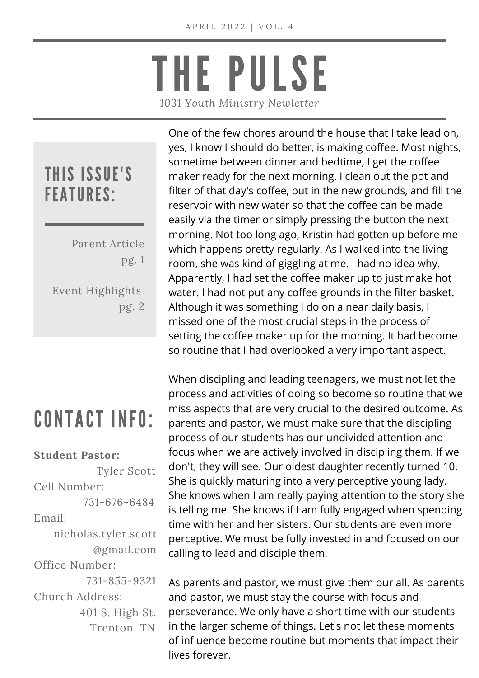# THE PULSE *1031 Youth Ministry Newletter*

#### THIS ISSUE'S FEATURES:

Parent Article pg. 1 Event Highlights pg. 2

#### CONTACT INFO:

#### **Student Pastor:**

Tyler Scott Cell Number: 731-676-6484 Email: nicholas.tyler.scott @gmail.com Office Number: 731-855-9321 Church Address: 401 S. High St. Trenton, TN

One of the few chores around the house that I take lead on, yes, I know I should do better, is making coffee. Most nights, sometime between dinner and bedtime, I get the coffee maker ready for the next morning. I clean out the pot and filter of that day's coffee, put in the new grounds, and fill the reservoir with new water so that the coffee can be made easily via the timer or simply pressing the button the next morning. Not too long ago, Kristin had gotten up before me which happens pretty regularly. As I walked into the living room, she was kind of giggling at me. I had no idea why. Apparently, I had set the coffee maker up to just make hot water. I had not put any coffee grounds in the filter basket. Although it was something I do on a near daily basis, I missed one of the most crucial steps in the process of setting the coffee maker up for the morning. It had become so routine that I had overlooked a very important aspect.

When discipling and leading teenagers, we must not let the process and activities of doing so become so routine that we miss aspects that are very crucial to the desired outcome. As parents and pastor, we must make sure that the discipling process of our students has our undivided attention and focus when we are actively involved in discipling them. If we don't, they will see. Our oldest daughter recently turned 10. She is quickly maturing into a very perceptive young lady. She knows when I am really paying attention to the story she is telling me. She knows if I am fully engaged when spending time with her and her sisters. Our students are even more perceptive. We must be fully invested in and focused on our calling to lead and disciple them.

As parents and pastor, we must give them our all. As parents and pastor, we must stay the course with focus and perseverance. We only have a short time with our students in the larger scheme of things. Let's not let these moments of influence become routine but moments that impact their lives forever.